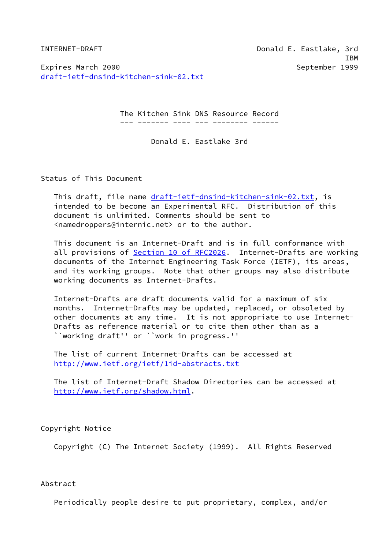INTERNET-DRAFT Donald E. Eastlake, 3rd IBM

Expires March 2000 September 1999 [draft-ietf-dnsind-kitchen-sink-02.txt](https://datatracker.ietf.org/doc/pdf/draft-ietf-dnsind-kitchen-sink-02.txt)

The Kitchen Sink DNS Resource Record

--- ------- ---- --- -------- ------

Donald E. Eastlake 3rd

Status of This Document

This draft, file name [draft-ietf-dnsind-kitchen-sink-02.txt,](https://datatracker.ietf.org/doc/pdf/draft-ietf-dnsind-kitchen-sink-02.txt) is intended to be become an Experimental RFC. Distribution of this document is unlimited. Comments should be sent to <namedroppers@internic.net> or to the author.

 This document is an Internet-Draft and is in full conformance with all provisions of Section [10 of RFC2026.](https://datatracker.ietf.org/doc/pdf/rfc2026#section-10) Internet-Drafts are working documents of the Internet Engineering Task Force (IETF), its areas, and its working groups. Note that other groups may also distribute working documents as Internet-Drafts.

 Internet-Drafts are draft documents valid for a maximum of six months. Internet-Drafts may be updated, replaced, or obsoleted by other documents at any time. It is not appropriate to use Internet- Drafts as reference material or to cite them other than as a ``working draft'' or ``work in progress.''

 The list of current Internet-Drafts can be accessed at <http://www.ietf.org/ietf/1id-abstracts.txt>

 The list of Internet-Draft Shadow Directories can be accessed at <http://www.ietf.org/shadow.html>.

Copyright Notice

Copyright (C) The Internet Society (1999). All Rights Reserved

Abstract

Periodically people desire to put proprietary, complex, and/or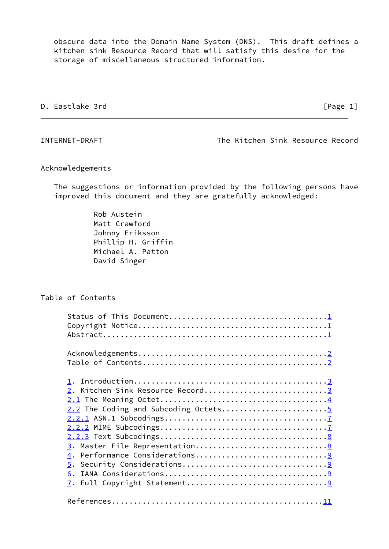obscure data into the Domain Name System (DNS). This draft defines a kitchen sink Resource Record that will satisfy this desire for the storage of miscellaneous structured information.

# D. Eastlake 3rd **D. Eastlake 3rd Internal Contract Contract Contract Contract Contract Contract Contract Contract Contract Contract Contract Contract Contract Contract Contract Contract Contract Contract Contract Contrac**

<span id="page-1-0"></span>INTERNET-DRAFT The Kitchen Sink Resource Record

# Acknowledgements

 The suggestions or information provided by the following persons have improved this document and they are gratefully acknowledged:

> Rob Austein Matt Crawford Johnny Eriksson Phillip H. Griffin Michael A. Patton David Singer

# Table of Contents

| 2. Kitchen Sink Resource Record3 |
|----------------------------------|
|                                  |
|                                  |
|                                  |
|                                  |
|                                  |
|                                  |
|                                  |
|                                  |
|                                  |
| 6.                               |
|                                  |
|                                  |
|                                  |
|                                  |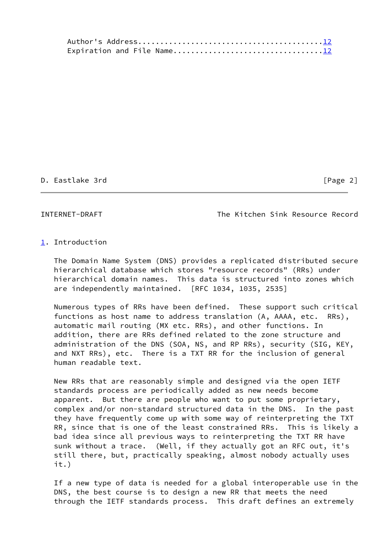## D. Eastlake 3rd [Page 2]

<span id="page-2-1"></span>INTERNET-DRAFT The Kitchen Sink Resource Record

## <span id="page-2-0"></span>[1](#page-2-0). Introduction

 The Domain Name System (DNS) provides a replicated distributed secure hierarchical database which stores "resource records" (RRs) under hierarchical domain names. This data is structured into zones which are independently maintained. [RFC 1034, 1035, 2535]

 Numerous types of RRs have been defined. These support such critical functions as host name to address translation (A, AAAA, etc. RRs), automatic mail routing (MX etc. RRs), and other functions. In addition, there are RRs defined related to the zone structure and administration of the DNS (SOA, NS, and RP RRs), security (SIG, KEY, and NXT RRs), etc. There is a TXT RR for the inclusion of general human readable text.

 New RRs that are reasonably simple and designed via the open IETF standards process are periodically added as new needs become apparent. But there are people who want to put some proprietary, complex and/or non-standard structured data in the DNS. In the past they have frequently come up with some way of reinterpreting the TXT RR, since that is one of the least constrained RRs. This is likely a bad idea since all previous ways to reinterpreting the TXT RR have sunk without a trace. (Well, if they actually got an RFC out, it's still there, but, practically speaking, almost nobody actually uses it.)

 If a new type of data is needed for a global interoperable use in the DNS, the best course is to design a new RR that meets the need through the IETF standards process. This draft defines an extremely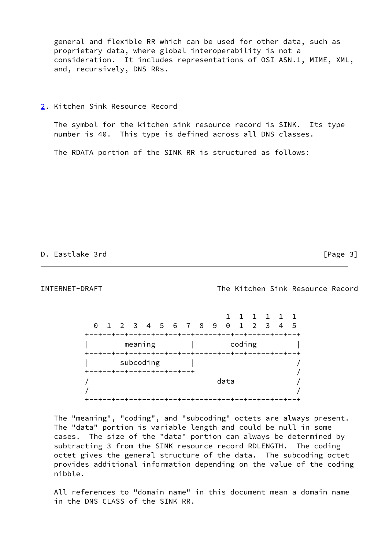general and flexible RR which can be used for other data, such as proprietary data, where global interoperability is not a consideration. It includes representations of OSI ASN.1, MIME, XML, and, recursively, DNS RRs.

<span id="page-3-0"></span>[2](#page-3-0). Kitchen Sink Resource Record

 The symbol for the kitchen sink resource record is SINK. Its type number is 40. This type is defined across all DNS classes.

The RDATA portion of the SINK RR is structured as follows:

D. Eastlake 3rd [Page 3]

<span id="page-3-1"></span>INTERNET-DRAFT The Kitchen Sink Resource Record

|  | 0 1 2 3 4 5 6 7 8 9 0 1 2 3 4 5 |  |           |  |  |        |  |  |  |
|--|---------------------------------|--|-----------|--|--|--------|--|--|--|
|  |                                 |  |           |  |  |        |  |  |  |
|  |                                 |  | meaning   |  |  | coding |  |  |  |
|  |                                 |  |           |  |  |        |  |  |  |
|  |                                 |  | subcoding |  |  |        |  |  |  |
|  | +--+--+--+--+--+--+--+--+       |  |           |  |  |        |  |  |  |
|  |                                 |  |           |  |  | data   |  |  |  |
|  |                                 |  |           |  |  |        |  |  |  |
|  |                                 |  |           |  |  |        |  |  |  |

 The "meaning", "coding", and "subcoding" octets are always present. The "data" portion is variable length and could be null in some cases. The size of the "data" portion can always be determined by subtracting 3 from the SINK resource record RDLENGTH. The coding octet gives the general structure of the data. The subcoding octet provides additional information depending on the value of the coding nibble.

 All references to "domain name" in this document mean a domain name in the DNS CLASS of the SINK RR.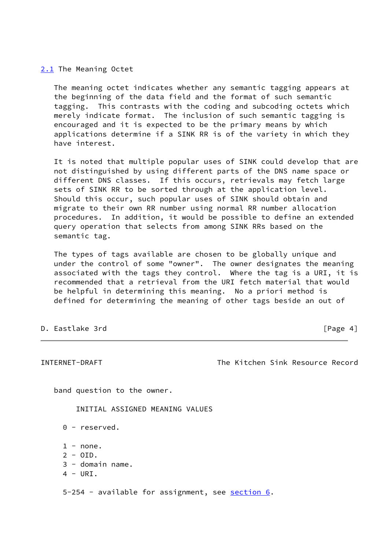<span id="page-4-0"></span>[2.1](#page-4-0) The Meaning Octet

 The meaning octet indicates whether any semantic tagging appears at the beginning of the data field and the format of such semantic tagging. This contrasts with the coding and subcoding octets which merely indicate format. The inclusion of such semantic tagging is encouraged and it is expected to be the primary means by which applications determine if a SINK RR is of the variety in which they have interest.

 It is noted that multiple popular uses of SINK could develop that are not distinguished by using different parts of the DNS name space or different DNS classes. If this occurs, retrievals may fetch large sets of SINK RR to be sorted through at the application level. Should this occur, such popular uses of SINK should obtain and migrate to their own RR number using normal RR number allocation procedures. In addition, it would be possible to define an extended query operation that selects from among SINK RRs based on the semantic tag.

 The types of tags available are chosen to be globally unique and under the control of some "owner". The owner designates the meaning associated with the tags they control. Where the tag is a URI, it is recommended that a retrieval from the URI fetch material that would be helpful in determining this meaning. No a priori method is defined for determining the meaning of other tags beside an out of

D. Eastlake 3rd **D. Eastlake 3rd Internal Control** Change 4]

<span id="page-4-1"></span>INTERNET-DRAFT The Kitchen Sink Resource Record

band question to the owner.

INITIAL ASSIGNED MEANING VALUES

- 0 reserved.
- $1 none.$
- $2 010$ .
- 3 domain name.
- $4 URT$ .

5-254 - available for assignment, see [section 6](#page-9-3).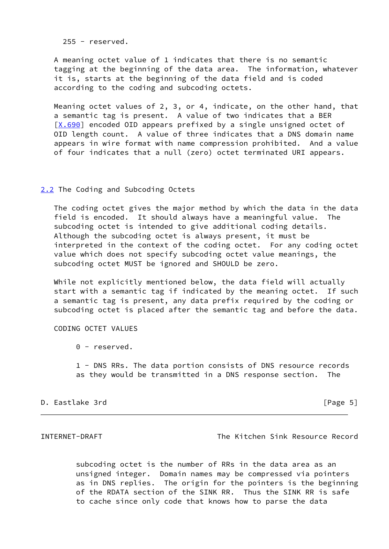$255 -$  reserved.

 A meaning octet value of 1 indicates that there is no semantic tagging at the beginning of the data area. The information, whatever it is, starts at the beginning of the data field and is coded according to the coding and subcoding octets.

 Meaning octet values of 2, 3, or 4, indicate, on the other hand, that a semantic tag is present. A value of two indicates that a BER  $[X.690]$  $[X.690]$  encoded OID appears prefixed by a single unsigned octet of OID length count. A value of three indicates that a DNS domain name appears in wire format with name compression prohibited. And a value of four indicates that a null (zero) octet terminated URI appears.

<span id="page-5-0"></span>[2.2](#page-5-0) The Coding and Subcoding Octets

 The coding octet gives the major method by which the data in the data field is encoded. It should always have a meaningful value. The subcoding octet is intended to give additional coding details. Although the subcoding octet is always present, it must be interpreted in the context of the coding octet. For any coding octet value which does not specify subcoding octet value meanings, the subcoding octet MUST be ignored and SHOULD be zero.

 While not explicitly mentioned below, the data field will actually start with a semantic tag if indicated by the meaning octet. If such a semantic tag is present, any data prefix required by the coding or subcoding octet is placed after the semantic tag and before the data.

# CODING OCTET VALUES

0 - reserved.

 1 - DNS RRs. The data portion consists of DNS resource records as they would be transmitted in a DNS response section. The

## D. Eastlake 3rd [Page 5]

INTERNET-DRAFT The Kitchen Sink Resource Record

 subcoding octet is the number of RRs in the data area as an unsigned integer. Domain names may be compressed via pointers as in DNS replies. The origin for the pointers is the beginning of the RDATA section of the SINK RR. Thus the SINK RR is safe to cache since only code that knows how to parse the data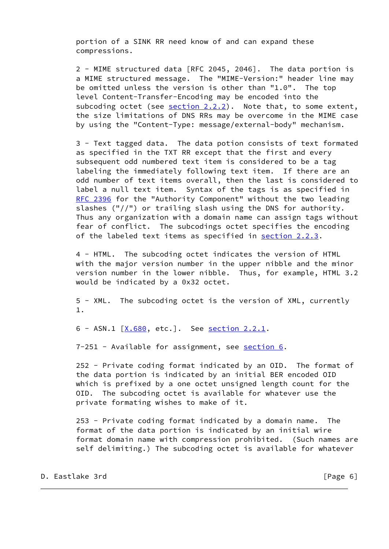portion of a SINK RR need know of and can expand these compressions.

 2 - MIME structured data [RFC 2045, 2046]. The data portion is a MIME structured message. The "MIME-Version:" header line may be omitted unless the version is other than "1.0". The top level Content-Transfer-Encoding may be encoded into the subcoding octet (see [section 2.2.2\)](#page-7-2). Note that, to some extent, the size limitations of DNS RRs may be overcome in the MIME case by using the "Content-Type: message/external-body" mechanism.

 3 - Text tagged data. The data potion consists of text formated as specified in the TXT RR except that the first and every subsequent odd numbered text item is considered to be a tag labeling the immediately following text item. If there are an odd number of text items overall, then the last is considered to label a null text item. Syntax of the tags is as specified in [RFC 2396](https://datatracker.ietf.org/doc/pdf/rfc2396) for the "Authority Component" without the two leading slashes ("//") or trailing slash using the DNS for authority. Thus any organization with a domain name can assign tags without fear of conflict. The subcodings octet specifies the encoding of the labeled text items as specified in [section 2.2.3.](#page-8-0)

 4 - HTML. The subcoding octet indicates the version of HTML with the major version number in the upper nibble and the minor version number in the lower nibble. Thus, for example, HTML 3.2 would be indicated by a 0x32 octet.

 5 - XML. The subcoding octet is the version of XML, currently 1.

6 - ASN.1  $[X.680, \text{ etc.}]$  $[X.680, \text{ etc.}]$ . See [section 2.2.1.](#page-7-0)

7-251 - Available for assignment, see [section 6.](#page-9-3)

 252 - Private coding format indicated by an OID. The format of the data portion is indicated by an initial BER encoded OID which is prefixed by a one octet unsigned length count for the OID. The subcoding octet is available for whatever use the private formating wishes to make of it.

 253 - Private coding format indicated by a domain name. The format of the data portion is indicated by an initial wire format domain name with compression prohibited. (Such names are self delimiting.) The subcoding octet is available for whatever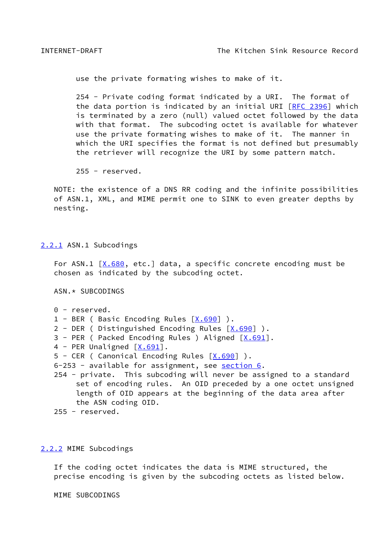<span id="page-7-1"></span>use the private formating wishes to make of it.

 254 - Private coding format indicated by a URI. The format of the data portion is indicated by an initial URI [\[RFC 2396](https://datatracker.ietf.org/doc/pdf/rfc2396)] which is terminated by a zero (null) valued octet followed by the data with that format. The subcoding octet is available for whatever use the private formating wishes to make of it. The manner in which the URI specifies the format is not defined but presumably the retriever will recognize the URI by some pattern match.

255 - reserved.

 NOTE: the existence of a DNS RR coding and the infinite possibilities of ASN.1, XML, and MIME permit one to SINK to even greater depths by nesting.

### <span id="page-7-0"></span>[2.2.1](#page-7-0) ASN.1 Subcodings

For ASN.1  $[X.680, etc.]$  $[X.680, etc.]$  $[X.680, etc.]$  data, a specific concrete encoding must be chosen as indicated by the subcoding octet.

ASN.\* SUBCODINGS

```
 0 - reserved.
```
1 - BER ( Basic Encoding Rules  $[X.690]$  $[X.690]$  ).

- 2 DER ( Distinguished Encoding Rules [\[X.690](#page-12-1)] ).
- 3 PER ( Packed Encoding Rules ) Aligned  $[X.691]$  $[X.691]$ .
- 4 PER Unaligned  $[X.691]$  $[X.691]$ .

```
 5 - CER ( Canonical Encoding Rules [X.690] ).
```

```
 6-253 - available for assignment, see section 6.
```
 254 - private. This subcoding will never be assigned to a standard set of encoding rules. An OID preceded by a one octet unsigned length of OID appears at the beginning of the data area after the ASN coding OID.

255 - reserved.

### <span id="page-7-2"></span>[2.2.2](#page-7-2) MIME Subcodings

 If the coding octet indicates the data is MIME structured, the precise encoding is given by the subcoding octets as listed below.

MIME SUBCODINGS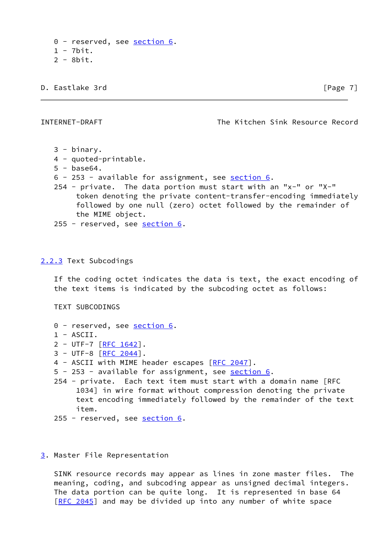0 - reserved, see [section 6.](#page-9-3) 1 - 7bit. 2 - 8bit.

D. Eastlake 3rd **in the set of the set of the set of the set of the set of the set of the set of the set of the set of the set of the set of the set of the set of the set of the set of the set of the set of the set of the** 

<span id="page-8-1"></span>INTERNET-DRAFT The Kitchen Sink Resource Record

- 3 binary.
- 4 quoted-printable.
- 5 base64.
- 6 253 available for assignment, see [section 6](#page-9-3).
- 254 private. The data portion must start with an "x-" or "X-" token denoting the private content-transfer-encoding immediately followed by one null (zero) octet followed by the remainder of the MIME object.
- 255 reserved, see [section 6.](#page-9-3)

<span id="page-8-0"></span>[2.2.3](#page-8-0) Text Subcodings

 If the coding octet indicates the data is text, the exact encoding of the text items is indicated by the subcoding octet as follows:

TEXT SUBCODINGS

- 0 reserved, see <u>section 6</u>. 1 - ASCII. 2 - UTF-7 [[RFC 1642\]](https://datatracker.ietf.org/doc/pdf/rfc1642). 3 - UTF-8 [[RFC 2044\]](https://datatracker.ietf.org/doc/pdf/rfc2044). 4 - ASCII with MIME header escapes [[RFC 2047\]](https://datatracker.ietf.org/doc/pdf/rfc2047). 5 - 253 - available for assignment, see [section 6](#page-9-3). 254 - private. Each text item must start with a domain name [RFC 1034] in wire format without compression denoting the private text encoding immediately followed by the remainder of the text item.
- 255 reserved, see [section 6.](#page-9-3)

### <span id="page-8-2"></span>[3](#page-8-2). Master File Representation

 SINK resource records may appear as lines in zone master files. The meaning, coding, and subcoding appear as unsigned decimal integers. The data portion can be quite long. It is represented in base 64 [\[RFC 2045](https://datatracker.ietf.org/doc/pdf/rfc2045)] and may be divided up into any number of white space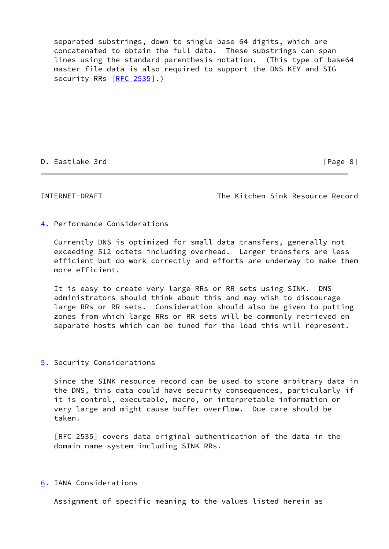separated substrings, down to single base 64 digits, which are concatenated to obtain the full data. These substrings can span lines using the standard parenthesis notation. (This type of base64 master file data is also required to support the DNS KEY and SIG security RRs [\[RFC 2535](https://datatracker.ietf.org/doc/pdf/rfc2535)].)

## D. Eastlake 3rd **D. Eastlake 3rd Communication Communication C**  $[Page 8]$

<span id="page-9-1"></span>INTERNET-DRAFT The Kitchen Sink Resource Record

## <span id="page-9-0"></span>[4](#page-9-0). Performance Considerations

 Currently DNS is optimized for small data transfers, generally not exceeding 512 octets including overhead. Larger transfers are less efficient but do work correctly and efforts are underway to make them more efficient.

 It is easy to create very large RRs or RR sets using SINK. DNS administrators should think about this and may wish to discourage large RRs or RR sets. Consideration should also be given to putting zones from which large RRs or RR sets will be commonly retrieved on separate hosts which can be tuned for the load this will represent.

## <span id="page-9-2"></span>[5](#page-9-2). Security Considerations

 Since the SINK resource record can be used to store arbitrary data in the DNS, this data could have security consequences, particularly if it is control, executable, macro, or interpretable information or very large and might cause buffer overflow. Due care should be taken.

 [RFC 2535] covers data original authentication of the data in the domain name system including SINK RRs.

# <span id="page-9-3"></span>[6](#page-9-3). IANA Considerations

Assignment of specific meaning to the values listed herein as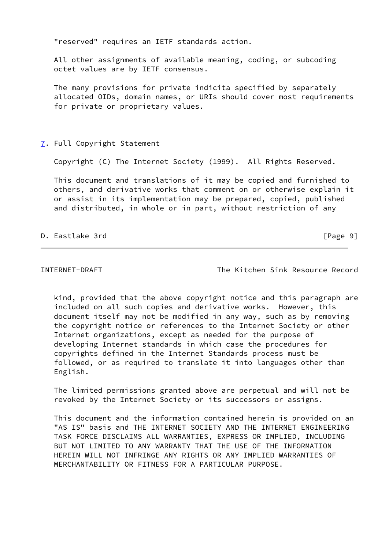"reserved" requires an IETF standards action.

 All other assignments of available meaning, coding, or subcoding octet values are by IETF consensus.

 The many provisions for private indicita specified by separately allocated OIDs, domain names, or URIs should cover most requirements for private or proprietary values.

## <span id="page-10-0"></span>[7](#page-10-0). Full Copyright Statement

Copyright (C) The Internet Society (1999). All Rights Reserved.

 This document and translations of it may be copied and furnished to others, and derivative works that comment on or otherwise explain it or assist in its implementation may be prepared, copied, published and distributed, in whole or in part, without restriction of any

## D. Eastlake 3rd **D. Eastlake 3rd Community Community Community Community Community Community Community Community Community Community Community Community Community Community Community Communi**

INTERNET-DRAFT The Kitchen Sink Resource Record

 kind, provided that the above copyright notice and this paragraph are included on all such copies and derivative works. However, this document itself may not be modified in any way, such as by removing the copyright notice or references to the Internet Society or other Internet organizations, except as needed for the purpose of developing Internet standards in which case the procedures for copyrights defined in the Internet Standards process must be followed, or as required to translate it into languages other than English.

 The limited permissions granted above are perpetual and will not be revoked by the Internet Society or its successors or assigns.

 This document and the information contained herein is provided on an "AS IS" basis and THE INTERNET SOCIETY AND THE INTERNET ENGINEERING TASK FORCE DISCLAIMS ALL WARRANTIES, EXPRESS OR IMPLIED, INCLUDING BUT NOT LIMITED TO ANY WARRANTY THAT THE USE OF THE INFORMATION HEREIN WILL NOT INFRINGE ANY RIGHTS OR ANY IMPLIED WARRANTIES OF MERCHANTABILITY OR FITNESS FOR A PARTICULAR PURPOSE.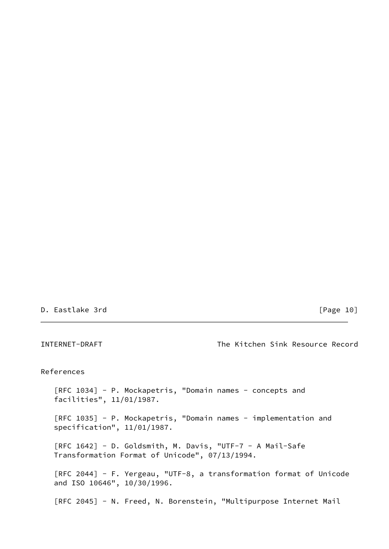## D. Eastlake 3rd [Page 10]

<span id="page-11-0"></span>INTERNET-DRAFT The Kitchen Sink Resource Record References [RFC 1034] - P. Mockapetris, "Domain names - concepts and facilities", 11/01/1987. [RFC 1035] - P. Mockapetris, "Domain names - implementation and specification", 11/01/1987. [RFC 1642] - D. Goldsmith, M. Davis, "UTF-7 - A Mail-Safe Transformation Format of Unicode", 07/13/1994. [RFC 2044] - F. Yergeau, "UTF-8, a transformation format of Unicode and ISO 10646", 10/30/1996. [RFC 2045] - N. Freed, N. Borenstein, "Multipurpose Internet Mail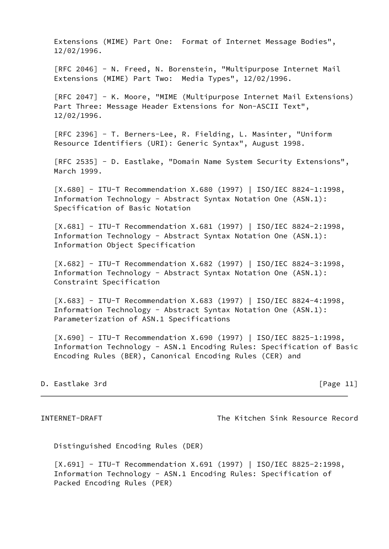Extensions (MIME) Part One: Format of Internet Message Bodies", 12/02/1996.

 [RFC 2046] - N. Freed, N. Borenstein, "Multipurpose Internet Mail Extensions (MIME) Part Two: Media Types", 12/02/1996.

[RFC 2047] - K. Moore, "MIME (Multipurpose Internet Mail Extensions) Part Three: Message Header Extensions for Non-ASCII Text", 12/02/1996.

 [RFC 2396] - T. Berners-Lee, R. Fielding, L. Masinter, "Uniform Resource Identifiers (URI): Generic Syntax", August 1998.

 [RFC 2535] - D. Eastlake, "Domain Name System Security Extensions", March 1999.

<span id="page-12-2"></span> [X.680] - ITU-T Recommendation X.680 (1997) | ISO/IEC 8824-1:1998, Information Technology - Abstract Syntax Notation One (ASN.1): Specification of Basic Notation

 [X.681] - ITU-T Recommendation X.681 (1997) | ISO/IEC 8824-2:1998, Information Technology - Abstract Syntax Notation One (ASN.1): Information Object Specification

 [X.682] - ITU-T Recommendation X.682 (1997) | ISO/IEC 8824-3:1998, Information Technology - Abstract Syntax Notation One (ASN.1): Constraint Specification

 [X.683] - ITU-T Recommendation X.683 (1997) | ISO/IEC 8824-4:1998, Information Technology - Abstract Syntax Notation One (ASN.1): Parameterization of ASN.1 Specifications

<span id="page-12-1"></span> [X.690] - ITU-T Recommendation X.690 (1997) | ISO/IEC 8825-1:1998, Information Technology - ASN.1 Encoding Rules: Specification of Basic Encoding Rules (BER), Canonical Encoding Rules (CER) and

# D. Eastlake 3rd [Page 11]

<span id="page-12-0"></span>INTERNET-DRAFT The Kitchen Sink Resource Record

Distinguished Encoding Rules (DER)

<span id="page-12-3"></span> [X.691] - ITU-T Recommendation X.691 (1997) | ISO/IEC 8825-2:1998, Information Technology - ASN.1 Encoding Rules: Specification of Packed Encoding Rules (PER)